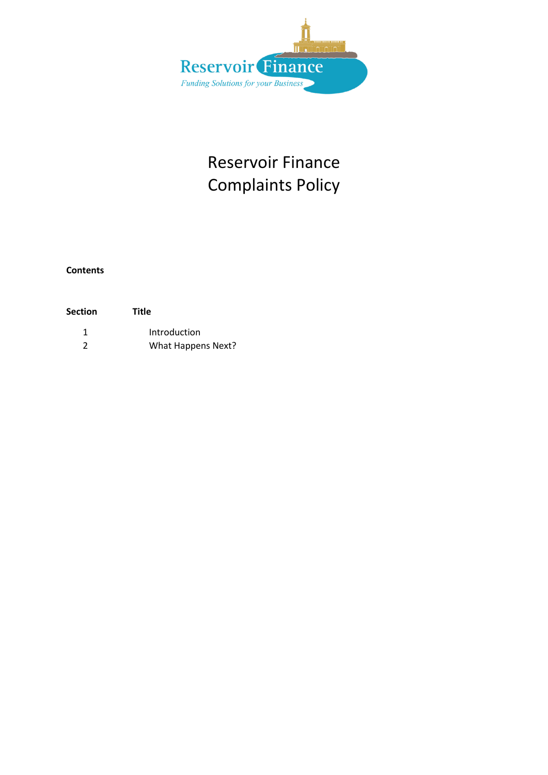

## Reservoir Finance Complaints Policy

**Contents**

| Section | Title              |
|---------|--------------------|
|         | Introduction       |
| 2       | What Happens Next? |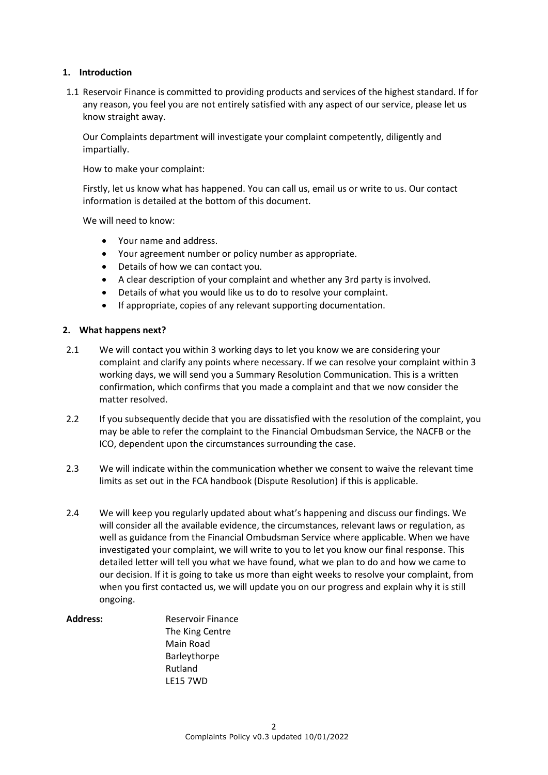## **1. Introduction**

1.1 Reservoir Finance is committed to providing products and services of the highest standard. If for any reason, you feel you are not entirely satisfied with any aspect of our service, please let us know straight away.

Our Complaints department will investigate your complaint competently, diligently and impartially.

How to make your complaint:

Firstly, let us know what has happened. You can call us, email us or write to us. Our contact information is detailed at the bottom of this document.

We will need to know:

- Your name and address.
- Your agreement number or policy number as appropriate.
- Details of how we can contact you.
- A clear description of your complaint and whether any 3rd party is involved.
- Details of what you would like us to do to resolve your complaint.
- If appropriate, copies of any relevant supporting documentation.

## **2. What happens next?**

- 2.1 We will contact you within 3 working days to let you know we are considering your complaint and clarify any points where necessary. If we can resolve your complaint within 3 working days, we will send you a Summary Resolution Communication. This is a written confirmation, which confirms that you made a complaint and that we now consider the matter resolved.
- 2.2 If you subsequently decide that you are dissatisfied with the resolution of the complaint, you may be able to refer the complaint to the Financial Ombudsman Service, the NACFB or the ICO, dependent upon the circumstances surrounding the case.
- 2.3 We will indicate within the communication whether we consent to waive the relevant time limits as set out in the FCA handbook (Dispute Resolution) if this is applicable.
- 2.4 We will keep you regularly updated about what's happening and discuss our findings. We will consider all the available evidence, the circumstances, relevant laws or regulation, as well as guidance from the Financial Ombudsman Service where applicable. When we have investigated your complaint, we will write to you to let you know our final response. This detailed letter will tell you what we have found, what we plan to do and how we came to our decision. If it is going to take us more than eight weeks to resolve your complaint, from when you first contacted us, we will update you on our progress and explain why it is still ongoing.

Address: Reservoir Finance The King Centre Main Road Barleythorpe Rutland LE15 7WD